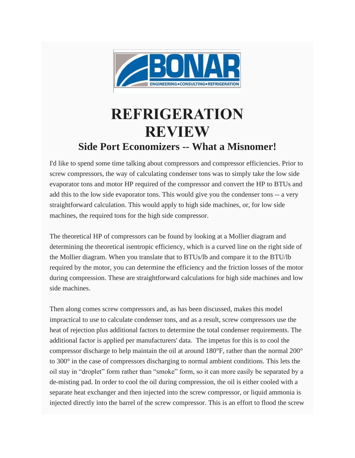

## **REFRIGERATION REVIEW Side Port Economizers -- What a Misnomer!**

I'd like to spend some time talking about compressors and compressor efficiencies. Prior to screw compressors, the way of calculating condenser tons was to simply take the low side evaporator tons and motor HP required of the compressor and convert the HP to BTUs and add this to the low side evaporator tons. This would give you the condenser tons -- a very straightforward calculation. This would apply to high side machines, or, for low side machines, the required tons for the high side compressor.

The theoretical HP of compressors can be found by looking at a Mollier diagram and determining the theoretical isentropic efficiency, which is a curved line on the right side of the Mollier diagram. When you translate that to BTUs/lb and compare it to the BTU/lb required by the motor, you can determine the efficiency and the friction losses of the motor during compression. These are straightforward calculations for high side machines and low side machines.

Then along comes screw compressors and, as has been discussed, makes this model impractical to use to calculate condenser tons, and as a result, screw compressors use the heat of rejection plus additional factors to determine the total condenser requirements. The additional factor is applied per manufacturers' data. The impetus for this is to cool the compressor discharge to help maintain the oil at around  $180^{\circ}$ F, rather than the normal  $200^{\circ}$ to 300° in the case of compressors discharging to normal ambient conditions. This lets the oil stay in "droplet" form rather than "smoke" form, so it can more easily be separated by a de-misting pad. In order to cool the oil during compression, the oil is either cooled with a separate heat exchanger and then injected into the screw compressor, or liquid ammonia is injected directly into the barrel of the screw compressor. This is an effort to flood the screw